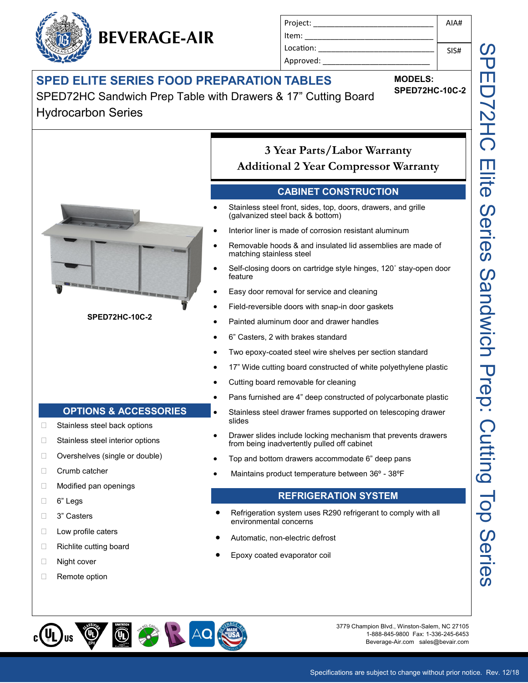## **SPED ELITE SERIES FOOD PREPARATION TABLES**

**BEVERAGE-AIR**

SPED72HC Sandwich Prep Table with Drawers & 17" Cutting Board Hydrocarbon Series



**MODELS:**

Project: \_\_\_\_\_\_\_\_\_\_\_\_\_\_\_\_\_\_\_\_\_\_\_\_\_\_\_\_

Item: Location: Approved: \_\_\_\_\_\_\_\_\_\_\_\_\_\_\_\_\_\_\_\_\_\_\_\_\_

**SPED72HC-10C-2**

AIA#

SIS#

Specifications are subject to change without prior notice. Rev. 12/18